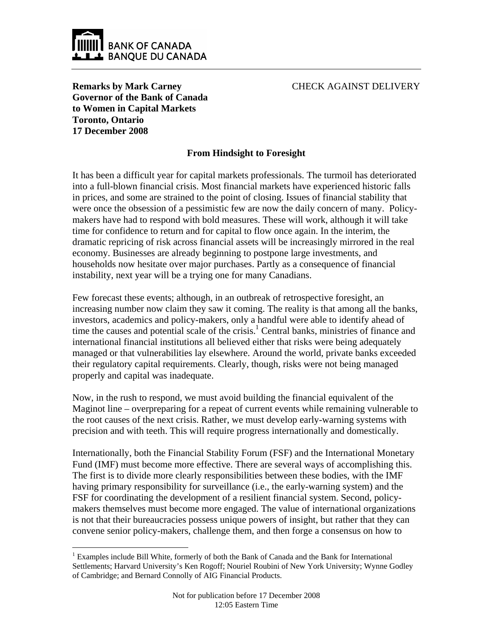

**Remarks by Mark Carney Governor of the Bank of Canada to Women in Capital Markets Toronto, Ontario 17 December 2008**

 $\overline{a}$ 

CHECK AGAINST DELIVERY

# **From Hindsight to Foresight**

It has been a difficult year for capital markets professionals. The turmoil has deteriorated into a full-blown financial crisis. Most financial markets have experienced historic falls in prices, and some are strained to the point of closing. Issues of financial stability that were once the obsession of a pessimistic few are now the daily concern of many. Policymakers have had to respond with bold measures. These will work, although it will take time for confidence to return and for capital to flow once again. In the interim, the dramatic repricing of risk across financial assets will be increasingly mirrored in the real economy. Businesses are already beginning to postpone large investments, and households now hesitate over major purchases. Partly as a consequence of financial instability, next year will be a trying one for many Canadians.

Few forecast these events; although, in an outbreak of retrospective foresight, an increasing number now claim they saw it coming. The reality is that among all the banks, investors, academics and policy-makers, only a handful were able to identify ahead of time the causes and potential scale of the crisis.<sup>1</sup> Central banks, ministries of finance and international financial institutions all believed either that risks were being adequately managed or that vulnerabilities lay elsewhere. Around the world, private banks exceeded their regulatory capital requirements. Clearly, though, risks were not being managed properly and capital was inadequate.

Now, in the rush to respond, we must avoid building the financial equivalent of the Maginot line – overpreparing for a repeat of current events while remaining vulnerable to the root causes of the next crisis. Rather, we must develop early-warning systems with precision and with teeth. This will require progress internationally and domestically.

Internationally, both the Financial Stability Forum (FSF) and the International Monetary Fund (IMF) must become more effective. There are several ways of accomplishing this. The first is to divide more clearly responsibilities between these bodies, with the IMF having primary responsibility for surveillance (i.e., the early-warning system) and the FSF for coordinating the development of a resilient financial system. Second, policymakers themselves must become more engaged. The value of international organizations is not that their bureaucracies possess unique powers of insight, but rather that they can convene senior policy-makers, challenge them, and then forge a consensus on how to

<sup>&</sup>lt;sup>1</sup> Examples include Bill White, formerly of both the Bank of Canada and the Bank for International Settlements; Harvard University's Ken Rogoff; Nouriel Roubini of New York University; Wynne Godley of Cambridge; and Bernard Connolly of AIG Financial Products.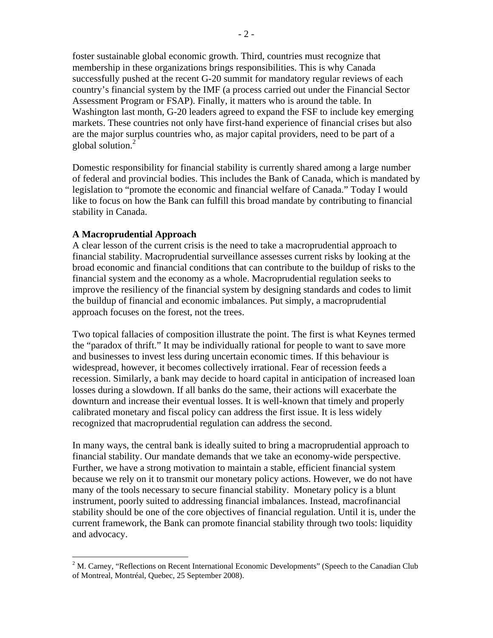foster sustainable global economic growth. Third, countries must recognize that membership in these organizations brings responsibilities. This is why Canada successfully pushed at the recent G-20 summit for mandatory regular reviews of each country's financial system by the IMF (a process carried out under the Financial Sector Assessment Program or FSAP). Finally, it matters who is around the table. In Washington last month, G-20 leaders agreed to expand the FSF to include key emerging markets. These countries not only have first-hand experience of financial crises but also are the major surplus countries who, as major capital providers, need to be part of a global solution.<sup>2</sup>

Domestic responsibility for financial stability is currently shared among a large number of federal and provincial bodies. This includes the Bank of Canada, which is mandated by legislation to "promote the economic and financial welfare of Canada." Today I would like to focus on how the Bank can fulfill this broad mandate by contributing to financial stability in Canada.

### **A Macroprudential Approach**

 $\overline{a}$ 

A clear lesson of the current crisis is the need to take a macroprudential approach to financial stability. Macroprudential surveillance assesses current risks by looking at the broad economic and financial conditions that can contribute to the buildup of risks to the financial system and the economy as a whole. Macroprudential regulation seeks to improve the resiliency of the financial system by designing standards and codes to limit the buildup of financial and economic imbalances. Put simply, a macroprudential approach focuses on the forest, not the trees.

Two topical fallacies of composition illustrate the point. The first is what Keynes termed the "paradox of thrift." It may be individually rational for people to want to save more and businesses to invest less during uncertain economic times. If this behaviour is widespread, however, it becomes collectively irrational. Fear of recession feeds a recession. Similarly, a bank may decide to hoard capital in anticipation of increased loan losses during a slowdown. If all banks do the same, their actions will exacerbate the downturn and increase their eventual losses. It is well-known that timely and properly calibrated monetary and fiscal policy can address the first issue. It is less widely recognized that macroprudential regulation can address the second.

In many ways, the central bank is ideally suited to bring a macroprudential approach to financial stability. Our mandate demands that we take an economy-wide perspective. Further, we have a strong motivation to maintain a stable, efficient financial system because we rely on it to transmit our monetary policy actions. However, we do not have many of the tools necessary to secure financial stability. Monetary policy is a blunt instrument, poorly suited to addressing financial imbalances. Instead, macrofinancial stability should be one of the core objectives of financial regulation. Until it is, under the current framework, the Bank can promote financial stability through two tools: liquidity and advocacy.

 $2^2$  M. Carney, "Reflections on Recent International Economic Developments" (Speech to the Canadian Club of Montreal, Montréal, Quebec, 25 September 2008).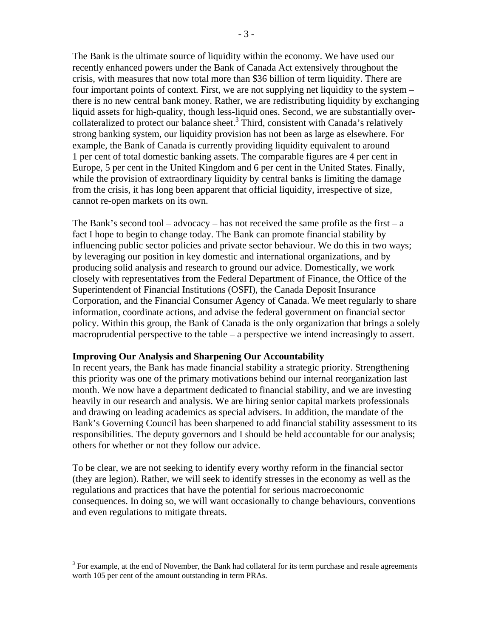The Bank is the ultimate source of liquidity within the economy. We have used our recently enhanced powers under the Bank of Canada Act extensively throughout the crisis, with measures that now total more than \$36 billion of term liquidity. There are four important points of context. First, we are not supplying net liquidity to the system – there is no new central bank money. Rather, we are redistributing liquidity by exchanging liquid assets for high-quality, though less-liquid ones. Second, we are substantially overcollateralized to protect our balance sheet.<sup>3</sup> Third, consistent with Canada's relatively strong banking system, our liquidity provision has not been as large as elsewhere. For example, the Bank of Canada is currently providing liquidity equivalent to around 1 per cent of total domestic banking assets. The comparable figures are 4 per cent in Europe, 5 per cent in the United Kingdom and 6 per cent in the United States. Finally, while the provision of extraordinary liquidity by central banks is limiting the damage from the crisis, it has long been apparent that official liquidity, irrespective of size, cannot re-open markets on its own.

The Bank's second tool – advocacy – has not received the same profile as the first – a fact I hope to begin to change today. The Bank can promote financial stability by influencing public sector policies and private sector behaviour. We do this in two ways; by leveraging our position in key domestic and international organizations, and by producing solid analysis and research to ground our advice. Domestically, we work closely with representatives from the Federal Department of Finance, the Office of the Superintendent of Financial Institutions (OSFI), the Canada Deposit Insurance Corporation, and the Financial Consumer Agency of Canada. We meet regularly to share information, coordinate actions, and advise the federal government on financial sector policy. Within this group, the Bank of Canada is the only organization that brings a solely macroprudential perspective to the table – a perspective we intend increasingly to assert.

### **Improving Our Analysis and Sharpening Our Accountability**

In recent years, the Bank has made financial stability a strategic priority. Strengthening this priority was one of the primary motivations behind our internal reorganization last month. We now have a department dedicated to financial stability, and we are investing heavily in our research and analysis. We are hiring senior capital markets professionals and drawing on leading academics as special advisers. In addition, the mandate of the Bank's Governing Council has been sharpened to add financial stability assessment to its responsibilities. The deputy governors and I should be held accountable for our analysis; others for whether or not they follow our advice.

To be clear, we are not seeking to identify every worthy reform in the financial sector (they are legion). Rather, we will seek to identify stresses in the economy as well as the regulations and practices that have the potential for serious macroeconomic consequences. In doing so, we will want occasionally to change behaviours, conventions and even regulations to mitigate threats.

<sup>&</sup>lt;sup>3</sup> For example, at the end of November, the Bank had collateral for its term purchase and resale agreements worth 105 per cent of the amount outstanding in term PRAs.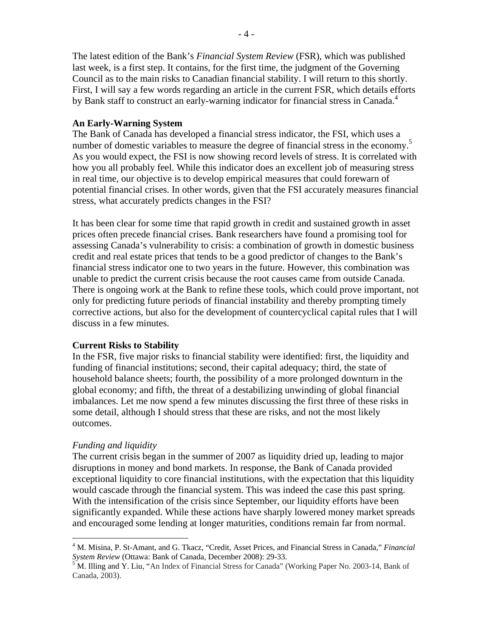The latest edition of the Bank's *Financial System Review* (FSR), which was published last week, is a first step. It contains, for the first time, the judgment of the Governing Council as to the main risks to Canadian financial stability. I will return to this shortly. First, I will say a few words regarding an article in the current FSR, which details efforts by Bank staff to construct an early-warning indicator for financial stress in Canada.<sup>4</sup>

### **An Early-Warning System**

The Bank of Canada has developed a financial stress indicator, the FSI, which uses a number of domestic variables to measure the degree of financial stress in the economy.<sup>5</sup> As you would expect, the FSI is now showing record levels of stress. It is correlated with how you all probably feel. While this indicator does an excellent job of measuring stress in real time, our objective is to develop empirical measures that could forewarn of potential financial crises. In other words, given that the FSI accurately measures financial stress, what accurately predicts changes in the FSI?

It has been clear for some time that rapid growth in credit and sustained growth in asset prices often precede financial crises. Bank researchers have found a promising tool for assessing Canada's vulnerability to crisis: a combination of growth in domestic business credit and real estate prices that tends to be a good predictor of changes to the Bank's financial stress indicator one to two years in the future. However, this combination was unable to predict the current crisis because the root causes came from outside Canada. There is ongoing work at the Bank to refine these tools, which could prove important, not only for predicting future periods of financial instability and thereby prompting timely corrective actions, but also for the development of countercyclical capital rules that I will discuss in a few minutes.

# **Current Risks to Stability**

In the FSR, five major risks to financial stability were identified: first, the liquidity and funding of financial institutions; second, their capital adequacy; third, the state of household balance sheets; fourth, the possibility of a more prolonged downturn in the global economy; and fifth, the threat of a destabilizing unwinding of global financial imbalances. Let me now spend a few minutes discussing the first three of these risks in some detail, although I should stress that these are risks, and not the most likely outcomes.

### *Funding and liquidity*

 $\overline{a}$ 

The current crisis began in the summer of 2007 as liquidity dried up, leading to major disruptions in money and bond markets. In response, the Bank of Canada provided exceptional liquidity to core financial institutions, with the expectation that this liquidity would cascade through the financial system. This was indeed the case this past spring. With the intensification of the crisis since September, our liquidity efforts have been significantly expanded. While these actions have sharply lowered money market spreads and encouraged some lending at longer maturities, conditions remain far from normal.

<sup>4</sup> M. Misina, P. St-Amant, and G. Tkacz, "Credit, Asset Prices, and Financial Stress in Canada," *Financial System Review* (Ottawa: Bank of Canada, December 2008): 29-33.<br><sup>5</sup> M. Illing and Y. Liu, "An Index of Financial Stress for Canada" (Working Paper No. 2003-14, Bank of

Canada, 2003).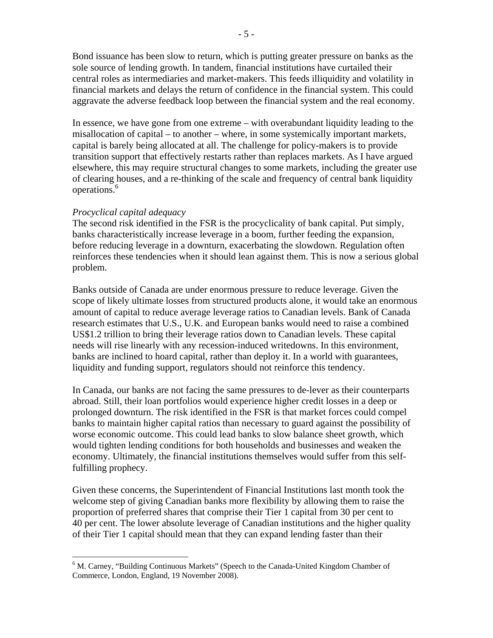Bond issuance has been slow to return, which is putting greater pressure on banks as the sole source of lending growth. In tandem, financial institutions have curtailed their central roles as intermediaries and market-makers. This feeds illiquidity and volatility in financial markets and delays the return of confidence in the financial system. This could aggravate the adverse feedback loop between the financial system and the real economy.

In essence, we have gone from one extreme – with overabundant liquidity leading to the misallocation of capital – to another – where, in some systemically important markets, capital is barely being allocated at all. The challenge for policy-makers is to provide transition support that effectively restarts rather than replaces markets. As I have argued elsewhere, this may require structural changes to some markets, including the greater use of clearing houses, and a re-thinking of the scale and frequency of central bank liquidity operations.<sup>6</sup>

#### *Procyclical capital adequacy*

1

The second risk identified in the FSR is the procyclicality of bank capital. Put simply, banks characteristically increase leverage in a boom, further feeding the expansion, before reducing leverage in a downturn, exacerbating the slowdown. Regulation often reinforces these tendencies when it should lean against them. This is now a serious global problem.

Banks outside of Canada are under enormous pressure to reduce leverage. Given the scope of likely ultimate losses from structured products alone, it would take an enormous amount of capital to reduce average leverage ratios to Canadian levels. Bank of Canada research estimates that U.S., U.K. and European banks would need to raise a combined US\$1.2 trillion to bring their leverage ratios down to Canadian levels. These capital needs will rise linearly with any recession-induced writedowns. In this environment, banks are inclined to hoard capital, rather than deploy it. In a world with guarantees, liquidity and funding support, regulators should not reinforce this tendency.

In Canada, our banks are not facing the same pressures to de-lever as their counterparts abroad. Still, their loan portfolios would experience higher credit losses in a deep or prolonged downturn. The risk identified in the FSR is that market forces could compel banks to maintain higher capital ratios than necessary to guard against the possibility of worse economic outcome. This could lead banks to slow balance sheet growth, which would tighten lending conditions for both households and businesses and weaken the economy. Ultimately, the financial institutions themselves would suffer from this selffulfilling prophecy.

Given these concerns, the Superintendent of Financial Institutions last month took the welcome step of giving Canadian banks more flexibility by allowing them to raise the proportion of preferred shares that comprise their Tier 1 capital from 30 per cent to 40 per cent. The lower absolute leverage of Canadian institutions and the higher quality of their Tier 1 capital should mean that they can expand lending faster than their

<sup>&</sup>lt;sup>6</sup> M. Carney, "Building Continuous Markets" (Speech to the Canada-United Kingdom Chamber of Commerce, London, England, 19 November 2008).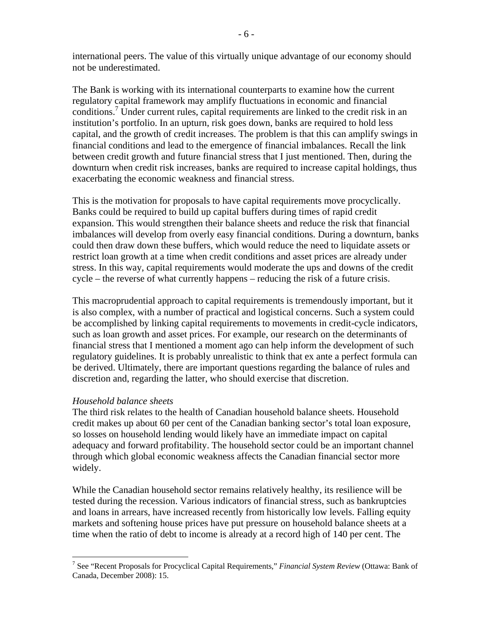international peers. The value of this virtually unique advantage of our economy should not be underestimated.

The Bank is working with its international counterparts to examine how the current regulatory capital framework may amplify fluctuations in economic and financial conditions.<sup>7</sup> Under current rules, capital requirements are linked to the credit risk in an institution's portfolio. In an upturn, risk goes down, banks are required to hold less capital, and the growth of credit increases. The problem is that this can amplify swings in financial conditions and lead to the emergence of financial imbalances. Recall the link between credit growth and future financial stress that I just mentioned. Then, during the downturn when credit risk increases, banks are required to increase capital holdings, thus exacerbating the economic weakness and financial stress.

This is the motivation for proposals to have capital requirements move procyclically. Banks could be required to build up capital buffers during times of rapid credit expansion. This would strengthen their balance sheets and reduce the risk that financial imbalances will develop from overly easy financial conditions. During a downturn, banks could then draw down these buffers, which would reduce the need to liquidate assets or restrict loan growth at a time when credit conditions and asset prices are already under stress. In this way, capital requirements would moderate the ups and downs of the credit cycle – the reverse of what currently happens – reducing the risk of a future crisis.

This macroprudential approach to capital requirements is tremendously important, but it is also complex, with a number of practical and logistical concerns. Such a system could be accomplished by linking capital requirements to movements in credit-cycle indicators, such as loan growth and asset prices. For example, our research on the determinants of financial stress that I mentioned a moment ago can help inform the development of such regulatory guidelines. It is probably unrealistic to think that ex ante a perfect formula can be derived. Ultimately, there are important questions regarding the balance of rules and discretion and, regarding the latter, who should exercise that discretion.

# *Household balance sheets*

The third risk relates to the health of Canadian household balance sheets. Household credit makes up about 60 per cent of the Canadian banking sector's total loan exposure, so losses on household lending would likely have an immediate impact on capital adequacy and forward profitability. The household sector could be an important channel through which global economic weakness affects the Canadian financial sector more widely.

While the Canadian household sector remains relatively healthy, its resilience will be tested during the recession. Various indicators of financial stress, such as bankruptcies and loans in arrears, have increased recently from historically low levels. Falling equity markets and softening house prices have put pressure on household balance sheets at a time when the ratio of debt to income is already at a record high of 140 per cent. The

 7 See "Recent Proposals for Procyclical Capital Requirements," *Financial System Review* (Ottawa: Bank of Canada, December 2008): 15.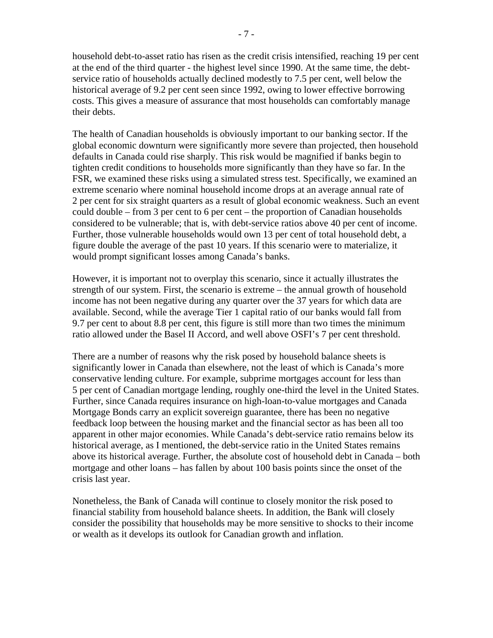household debt-to-asset ratio has risen as the credit crisis intensified, reaching 19 per cent at the end of the third quarter - the highest level since 1990. At the same time, the debtservice ratio of households actually declined modestly to 7.5 per cent, well below the historical average of 9.2 per cent seen since 1992, owing to lower effective borrowing costs. This gives a measure of assurance that most households can comfortably manage their debts.

The health of Canadian households is obviously important to our banking sector. If the global economic downturn were significantly more severe than projected, then household defaults in Canada could rise sharply. This risk would be magnified if banks begin to tighten credit conditions to households more significantly than they have so far. In the FSR, we examined these risks using a simulated stress test. Specifically, we examined an extreme scenario where nominal household income drops at an average annual rate of 2 per cent for six straight quarters as a result of global economic weakness. Such an event could double – from 3 per cent to 6 per cent – the proportion of Canadian households considered to be vulnerable; that is, with debt-service ratios above 40 per cent of income. Further, those vulnerable households would own 13 per cent of total household debt, a figure double the average of the past 10 years. If this scenario were to materialize, it would prompt significant losses among Canada's banks.

However, it is important not to overplay this scenario, since it actually illustrates the strength of our system. First, the scenario is extreme – the annual growth of household income has not been negative during any quarter over the 37 years for which data are available. Second, while the average Tier 1 capital ratio of our banks would fall from 9.7 per cent to about 8.8 per cent, this figure is still more than two times the minimum ratio allowed under the Basel II Accord, and well above OSFI's 7 per cent threshold.

There are a number of reasons why the risk posed by household balance sheets is significantly lower in Canada than elsewhere, not the least of which is Canada's more conservative lending culture. For example, subprime mortgages account for less than 5 per cent of Canadian mortgage lending, roughly one-third the level in the United States. Further, since Canada requires insurance on high-loan-to-value mortgages and Canada Mortgage Bonds carry an explicit sovereign guarantee, there has been no negative feedback loop between the housing market and the financial sector as has been all too apparent in other major economies. While Canada's debt-service ratio remains below its historical average, as I mentioned, the debt-service ratio in the United States remains above its historical average. Further, the absolute cost of household debt in Canada – both mortgage and other loans – has fallen by about 100 basis points since the onset of the crisis last year.

Nonetheless, the Bank of Canada will continue to closely monitor the risk posed to financial stability from household balance sheets. In addition, the Bank will closely consider the possibility that households may be more sensitive to shocks to their income or wealth as it develops its outlook for Canadian growth and inflation.